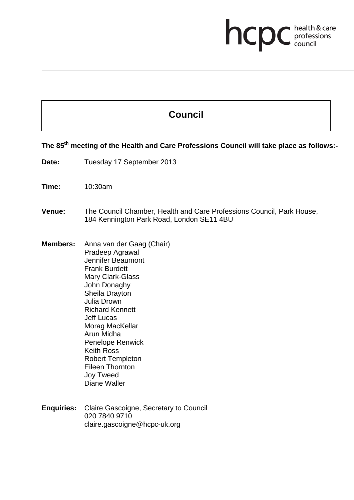## **health & care**

## **Council**

**The 85th meeting of the Health and Care Professions Council will take place as follows:-**

- Date: Tuesday 17 September 2013
- **Time:** 10:30am

## **Venue:** The Council Chamber, Health and Care Professions Council, Park House, 184 Kennington Park Road, London SE11 4BU

- **Members:** Anna van der Gaag (Chair) Pradeep Agrawal Jennifer Beaumont Frank Burdett Mary Clark-Glass John Donaghy Sheila Drayton Julia Drown Richard Kennett Jeff Lucas Morag MacKellar Arun Midha Penelope Renwick Keith Ross Robert Templeton Eileen Thornton Joy Tweed Diane Waller
- **Enquiries:** Claire Gascoigne, Secretary to Council 020 7840 9710 claire.gascoigne@hcpc-uk.org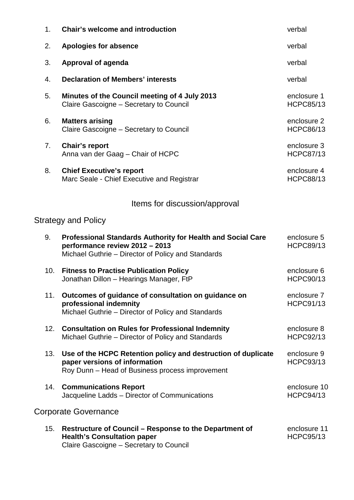| 1 <sub>1</sub> | <b>Chair's welcome and introduction</b>                                                                                                                    | verbal                           |
|----------------|------------------------------------------------------------------------------------------------------------------------------------------------------------|----------------------------------|
| 2.             | <b>Apologies for absence</b>                                                                                                                               | verbal                           |
| 3.             | <b>Approval of agenda</b>                                                                                                                                  | verbal                           |
| 4.             | <b>Declaration of Members' interests</b>                                                                                                                   | verbal                           |
| 5.             | Minutes of the Council meeting of 4 July 2013<br>Claire Gascoigne - Secretary to Council                                                                   | enclosure 1<br><b>HCPC85/13</b>  |
| 6.             | <b>Matters arising</b><br>Claire Gascoigne - Secretary to Council                                                                                          | enclosure 2<br><b>HCPC86/13</b>  |
| 7.             | <b>Chair's report</b><br>Anna van der Gaag – Chair of HCPC                                                                                                 | enclosure 3<br><b>HCPC87/13</b>  |
| 8.             | <b>Chief Executive's report</b><br>Marc Seale - Chief Executive and Registrar                                                                              | enclosure 4<br><b>HCPC88/13</b>  |
|                | Items for discussion/approval                                                                                                                              |                                  |
|                | <b>Strategy and Policy</b>                                                                                                                                 |                                  |
| 9.             | <b>Professional Standards Authority for Health and Social Care</b><br>performance review 2012 - 2013<br>Michael Guthrie - Director of Policy and Standards | enclosure 5<br><b>HCPC89/13</b>  |
| 10.            | <b>Fitness to Practise Publication Policy</b><br>Jonathan Dillon - Hearings Manager, FtP                                                                   | enclosure 6<br><b>HCPC90/13</b>  |
| 11.            | Outcomes of guidance of consultation on guidance on<br>professional indemnity<br>Michael Guthrie - Director of Policy and Standards                        | enclosure 7<br><b>HCPC91/13</b>  |
| 12.            | <b>Consultation on Rules for Professional Indemnity</b><br>Michael Guthrie – Director of Policy and Standards                                              | enclosure 8<br><b>HCPC92/13</b>  |
| 13.            | Use of the HCPC Retention policy and destruction of duplicate<br>paper versions of information<br>Roy Dunn – Head of Business process improvement          | enclosure 9<br><b>HCPC93/13</b>  |
| 14.            | <b>Communications Report</b><br>Jacqueline Ladds - Director of Communications                                                                              | enclosure 10<br><b>HCPC94/13</b> |
|                | <b>Corporate Governance</b>                                                                                                                                |                                  |
| 15.            | Restructure of Council - Response to the Department of<br><b>Health's Consultation paper</b><br>Claire Gascoigne - Secretary to Council                    | enclosure 11<br><b>HCPC95/13</b> |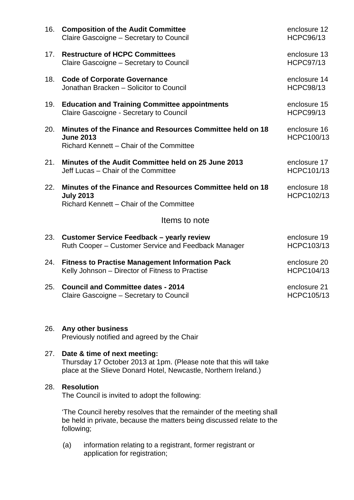| 16. | <b>Composition of the Audit Committee</b><br>Claire Gascoigne - Secretary to Council                                      | enclosure 12<br><b>HCPC96/13</b>  |  |  |  |
|-----|---------------------------------------------------------------------------------------------------------------------------|-----------------------------------|--|--|--|
| 17. | <b>Restructure of HCPC Committees</b><br>Claire Gascoigne – Secretary to Council                                          | enclosure 13<br><b>HCPC97/13</b>  |  |  |  |
| 18. | <b>Code of Corporate Governance</b><br>Jonathan Bracken - Solicitor to Council                                            | enclosure 14<br><b>HCPC98/13</b>  |  |  |  |
| 19. | <b>Education and Training Committee appointments</b><br>Claire Gascoigne - Secretary to Council                           | enclosure 15<br><b>HCPC99/13</b>  |  |  |  |
| 20. | Minutes of the Finance and Resources Committee held on 18<br><b>June 2013</b><br>Richard Kennett - Chair of the Committee | enclosure 16<br>HCPC100/13        |  |  |  |
| 21. | Minutes of the Audit Committee held on 25 June 2013<br>Jeff Lucas - Chair of the Committee                                | enclosure 17<br>HCPC101/13        |  |  |  |
| 22. | Minutes of the Finance and Resources Committee held on 18<br><b>July 2013</b><br>Richard Kennett - Chair of the Committee | enclosure 18<br>HCPC102/13        |  |  |  |
|     | Items to note                                                                                                             |                                   |  |  |  |
| 23. | <b>Customer Service Feedback - yearly review</b><br>Ruth Cooper – Customer Service and Feedback Manager                   | enclosure 19<br>HCPC103/13        |  |  |  |
| 24. | <b>Fitness to Practise Management Information Pack</b><br>Kelly Johnson - Director of Fitness to Practise                 | enclosure 20<br>HCPC104/13        |  |  |  |
| 25. | <b>Council and Committee dates - 2014</b><br>Claire Gascoigne - Secretary to Council                                      | enclosure 21<br><b>HCPC105/13</b> |  |  |  |
| 26. | Any other business<br>Previously notified and agreed by the Chair                                                         |                                   |  |  |  |
| 27. | Date & time of next meeting:<br>Thursday 17 October 2013 at 1pm. (Please note that this will take                         |                                   |  |  |  |
|     | place at the Slieve Donard Hotel, Newcastle, Northern Ireland.)                                                           |                                   |  |  |  |

'The Council hereby resolves that the remainder of the meeting shall be held in private, because the matters being discussed relate to the following;

(a) information relating to a registrant, former registrant or application for registration;